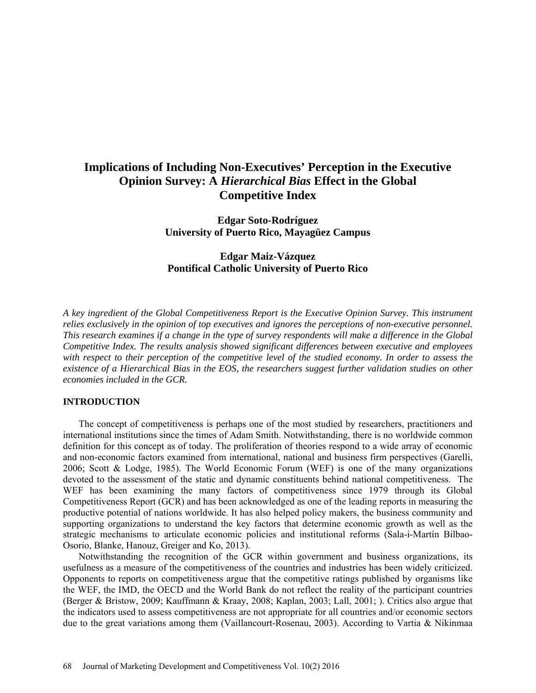# **Implications of Including Non-Executives' Perception in the Executive Opinion Survey: A** *Hierarchical Bias* **Effect in the Global Competitive Index**

**Edgar Soto-Rodríguez University of Puerto Rico, Mayagüez Campus** 

### **Edgar Maiz-Vázquez Pontifical Catholic University of Puerto Rico**

*A key ingredient of the Global Competitiveness Report is the Executive Opinion Survey. This instrument relies exclusively in the opinion of top executives and ignores the perceptions of non-executive personnel. This research examines if a change in the type of survey respondents will make a difference in the Global Competitive Index. The results analysis showed significant differences between executive and employees with respect to their perception of the competitive level of the studied economy. In order to assess the existence of a Hierarchical Bias in the EOS, the researchers suggest further validation studies on other economies included in the GCR.*

#### **INTRODUCTION**

The concept of competitiveness is perhaps one of the most studied by researchers, practitioners and international institutions since the times of Adam Smith. Notwithstanding, there is no worldwide common definition for this concept as of today. The proliferation of theories respond to a wide array of economic and non-economic factors examined from international, national and business firm perspectives (Garelli, 2006; Scott & Lodge, 1985). The World Economic Forum (WEF) is one of the many organizations devoted to the assessment of the static and dynamic constituents behind national competitiveness. The WEF has been examining the many factors of competitiveness since 1979 through its Global Competitiveness Report (GCR) and has been acknowledged as one of the leading reports in measuring the productive potential of nations worldwide. It has also helped policy makers, the business community and supporting organizations to understand the key factors that determine economic growth as well as the strategic mechanisms to articulate economic policies and institutional reforms (Sala-i-Martín Bilbao-Osorio, Blanke, Hanouz, Greiger and Ko, 2013).

Notwithstanding the recognition of the GCR within government and business organizations, its usefulness as a measure of the competitiveness of the countries and industries has been widely criticized. Opponents to reports on competitiveness argue that the competitive ratings published by organisms like the WEF, the IMD, the OECD and the World Bank do not reflect the reality of the participant countries (Berger & Bristow, 2009; Kauffmann & Kraay, 2008; Kaplan, 2003; Lall, 2001; ). Critics also argue that the indicators used to assess competitiveness are not appropriate for all countries and/or economic sectors due to the great variations among them (Vaillancourt-Rosenau, 2003). According to Vartia & Nikinmaa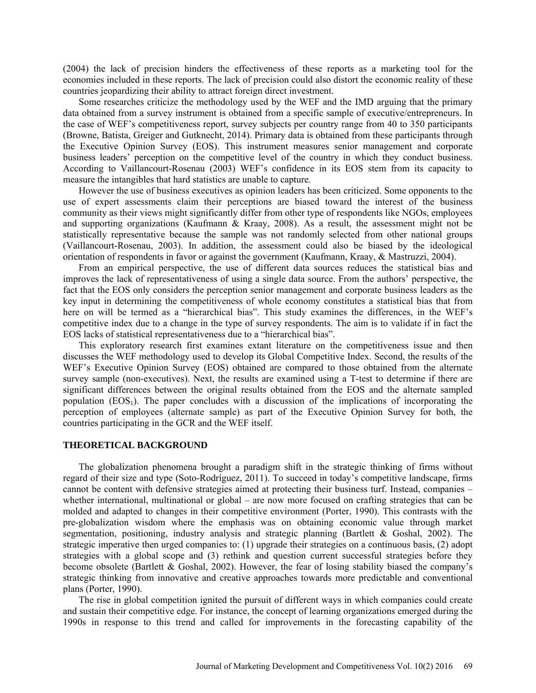(2004) the lack of precision hinders the effectiveness of these reports as a marketing tool for the economies included in these reports. The lack of precision could also distort the economic reality of these countries jeopardizing their ability to attract foreign direct investment.

Some researches criticize the methodology used by the WEF and the IMD arguing that the primary data obtained from a survey instrument is obtained from a specific sample of executive/entrepreneurs. In the case of WEF's competitiveness report, survey subjects per country range from 40 to 350 participants (Browne, Batista, Greiger and Gutknecht, 2014). Primary data is obtained from these participants through the Executive Opinion Survey (EOS). This instrument measures senior management and corporate business leaders' perception on the competitive level of the country in which they conduct business. According to Vaillancourt-Rosenau (2003) WEF's confidence in its EOS stem from its capacity to measure the intangibles that hard statistics are unable to capture.

However the use of business executives as opinion leaders has been criticized. Some opponents to the use of expert assessments claim their perceptions are biased toward the interest of the business community as their views might significantly differ from other type of respondents like NGOs, employees and supporting organizations (Kaufmann & Kraay, 2008). As a result, the assessment might not be statistically representative because the sample was not randomly selected from other national groups (Vaillancourt-Rosenau, 2003). In addition, the assessment could also be biased by the ideological orientation of respondents in favor or against the government (Kaufmann, Kraay, & Mastruzzi, 2004).

From an empirical perspective, the use of different data sources reduces the statistical bias and improves the lack of representativeness of using a single data source. From the authors' perspective, the fact that the EOS only considers the perception senior management and corporate business leaders as the key input in determining the competitiveness of whole economy constitutes a statistical bias that from here on will be termed as a "hierarchical bias". This study examines the differences, in the WEF's competitive index due to a change in the type of survey respondents. The aim is to validate if in fact the EOS lacks of statistical representativeness due to a "hierarchical bias".

This exploratory research first examines extant literature on the competitiveness issue and then discusses the WEF methodology used to develop its Global Competitive Index. Second, the results of the WEF's Executive Opinion Survey (EOS) obtained are compared to those obtained from the alternate survey sample (non-executives). Next, the results are examined using a T-test to determine if there are significant differences between the original results obtained from the EOS and the alternate sampled population  $(EOS_1)$ . The paper concludes with a discussion of the implications of incorporating the perception of employees (alternate sample) as part of the Executive Opinion Survey for both, the countries participating in the GCR and the WEF itself.

#### **THEORETICAL BACKGROUND**

The globalization phenomena brought a paradigm shift in the strategic thinking of firms without regard of their size and type (Soto-Rodríguez, 2011). To succeed in today's competitive landscape, firms cannot be content with defensive strategies aimed at protecting their business turf. Instead, companies – whether international, multinational or global – are now more focused on crafting strategies that can be molded and adapted to changes in their competitive environment (Porter, 1990). This contrasts with the pre-globalization wisdom where the emphasis was on obtaining economic value through market segmentation, positioning, industry analysis and strategic planning (Bartlett & Goshal, 2002). The strategic imperative then urged companies to: (1) upgrade their strategies on a continuous basis, (2) adopt strategies with a global scope and (3) rethink and question current successful strategies before they become obsolete (Bartlett & Goshal, 2002). However, the fear of losing stability biased the company's strategic thinking from innovative and creative approaches towards more predictable and conventional plans (Porter, 1990).

The rise in global competition ignited the pursuit of different ways in which companies could create and sustain their competitive edge. For instance, the concept of learning organizations emerged during the 1990s in response to this trend and called for improvements in the forecasting capability of the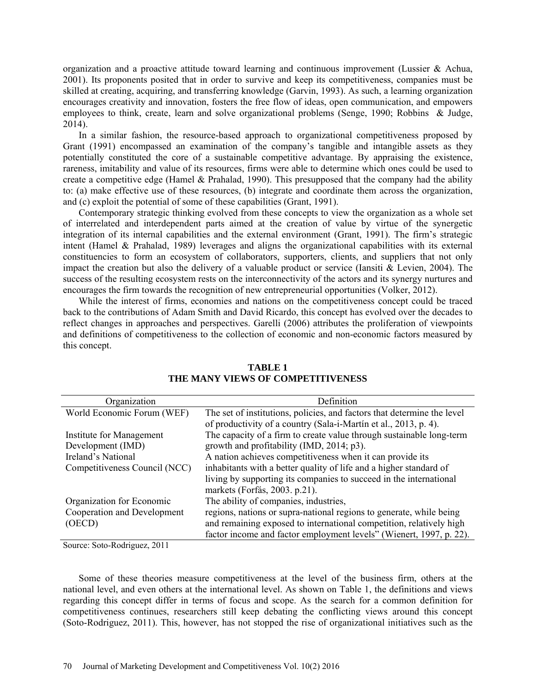organization and a proactive attitude toward learning and continuous improvement (Lussier & Achua, 2001). Its proponents posited that in order to survive and keep its competitiveness, companies must be skilled at creating, acquiring, and transferring knowledge (Garvin, 1993). As such, a learning organization encourages creativity and innovation, fosters the free flow of ideas, open communication, and empowers employees to think, create, learn and solve organizational problems (Senge, 1990; Robbins & Judge, 2014).

In a similar fashion, the resource-based approach to organizational competitiveness proposed by Grant (1991) encompassed an examination of the company's tangible and intangible assets as they potentially constituted the core of a sustainable competitive advantage. By appraising the existence, rareness, imitability and value of its resources, firms were able to determine which ones could be used to create a competitive edge (Hamel & Prahalad, 1990). This presupposed that the company had the ability to: (a) make effective use of these resources, (b) integrate and coordinate them across the organization, and (c) exploit the potential of some of these capabilities (Grant, 1991).

Contemporary strategic thinking evolved from these concepts to view the organization as a whole set of interrelated and interdependent parts aimed at the creation of value by virtue of the synergetic integration of its internal capabilities and the external environment (Grant, 1991). The firm's strategic intent (Hamel & Prahalad, 1989) leverages and aligns the organizational capabilities with its external constituencies to form an ecosystem of collaborators, supporters, clients, and suppliers that not only impact the creation but also the delivery of a valuable product or service (Iansiti  $\&$  Levien, 2004). The success of the resulting ecosystem rests on the interconnectivity of the actors and its synergy nurtures and encourages the firm towards the recognition of new entrepreneurial opportunities (Volker, 2012).

While the interest of firms, economies and nations on the competitiveness concept could be traced back to the contributions of Adam Smith and David Ricardo, this concept has evolved over the decades to reflect changes in approaches and perspectives. Garelli (2006) attributes the proliferation of viewpoints and definitions of competitiveness to the collection of economic and non-economic factors measured by this concept.

| Organization                  | Definition                                                              |
|-------------------------------|-------------------------------------------------------------------------|
| World Economic Forum (WEF)    | The set of institutions, policies, and factors that determine the level |
|                               | of productivity of a country (Sala-i-Martín et al., 2013, p. 4).        |
| Institute for Management      | The capacity of a firm to create value through sustainable long-term    |
| Development (IMD)             | growth and profitability (IMD, 2014; p3).                               |
| Ireland's National            | A nation achieves competitiveness when it can provide its               |
| Competitiveness Council (NCC) | inhabitants with a better quality of life and a higher standard of      |
|                               | living by supporting its companies to succeed in the international      |
|                               | markets (Forfás, 2003. p.21).                                           |
| Organization for Economic     | The ability of companies, industries,                                   |
| Cooperation and Development   | regions, nations or supra-national regions to generate, while being     |
| (OECD)                        | and remaining exposed to international competition, relatively high     |
|                               | factor income and factor employment levels" (Wienert, 1997, p. 22).     |

# **TABLE 1 THE MANY VIEWS OF COMPETITIVENESS**

Source: Soto-Rodriguez, 2011

Some of these theories measure competitiveness at the level of the business firm, others at the national level, and even others at the international level. As shown on Table 1, the definitions and views regarding this concept differ in terms of focus and scope. As the search for a common definition for competitiveness continues, researchers still keep debating the conflicting views around this concept (Soto-Rodriguez, 2011). This, however, has not stopped the rise of organizational initiatives such as the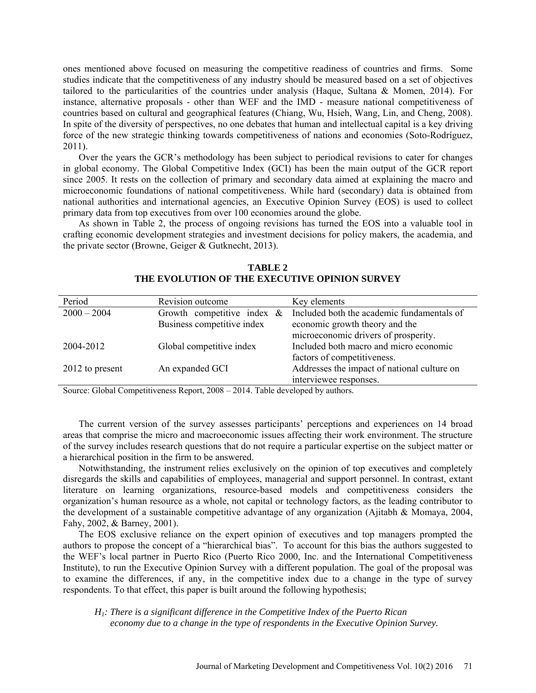ones mentioned above focused on measuring the competitive readiness of countries and firms. Some studies indicate that the competitiveness of any industry should be measured based on a set of objectives tailored to the particularities of the countries under analysis (Haque, Sultana & Momen, 2014). For instance, alternative proposals - other than WEF and the IMD - measure national competitiveness of countries based on cultural and geographical features (Chiang, Wu, Hsieh, Wang, Lin, and Cheng, 2008). In spite of the diversity of perspectives, no one debates that human and intellectual capital is a key driving force of the new strategic thinking towards competitiveness of nations and economies (Soto-Rodríguez, 2011).

Over the years the GCR's methodology has been subject to periodical revisions to cater for changes in global economy. The Global Competitive Index (GCI) has been the main output of the GCR report since 2005. It rests on the collection of primary and secondary data aimed at explaining the macro and microeconomic foundations of national competitiveness. While hard (secondary) data is obtained from national authorities and international agencies, an Executive Opinion Survey (EOS) is used to collect primary data from top executives from over 100 economies around the globe.

As shown in Table 2, the process of ongoing revisions has turned the EOS into a valuable tool in crafting economic development strategies and investment decisions for policy makers, the academia, and the private sector (Browne, Geiger & Gutknecht, 2013).

| Period          | Revision outcome              | Key elements                                                           |
|-----------------|-------------------------------|------------------------------------------------------------------------|
| $2000 - 2004$   | Growth competitive index $\&$ | Included both the academic fundamentals of                             |
|                 | Business competitive index    | economic growth theory and the<br>microeconomic drivers of prosperity. |
|                 |                               |                                                                        |
| 2004-2012       | Global competitive index      | Included both macro and micro economic                                 |
|                 |                               | factors of competitiveness.                                            |
| 2012 to present | An expanded GCI               | Addresses the impact of national culture on                            |
|                 |                               | interviewee responses.                                                 |

**TABLE 2 THE EVOLUTION OF THE EXECUTIVE OPINION SURVEY**

Source: Global Competitiveness Report, 2008 – 2014. Table developed by authors.

The current version of the survey assesses participants' perceptions and experiences on 14 broad areas that comprise the micro and macroeconomic issues affecting their work environment. The structure of the survey includes research questions that do not require a particular expertise on the subject matter or a hierarchical position in the firm to be answered.

Notwithstanding, the instrument relies exclusively on the opinion of top executives and completely disregards the skills and capabilities of employees, managerial and support personnel. In contrast, extant literature on learning organizations, resource-based models and competitiveness considers the organization's human resource as a whole, not capital or technology factors, as the leading contributor to the development of a sustainable competitive advantage of any organization (Ajitabh & Momaya, 2004, Fahy, 2002, & Barney, 2001).

The EOS exclusive reliance on the expert opinion of executives and top managers prompted the authors to propose the concept of a "hierarchical bias". To account for this bias the authors suggested to the WEF's local partner in Puerto Rico (Puerto Rico 2000, Inc. and the International Competitiveness Institute), to run the Executive Opinion Survey with a different population. The goal of the proposal was to examine the differences, if any, in the competitive index due to a change in the type of survey respondents. To that effect, this paper is built around the following hypothesis;

*H1: There is a significant difference in the Competitive Index of the Puerto Rican economy due to a change in the type of respondents in the Executive Opinion Survey.*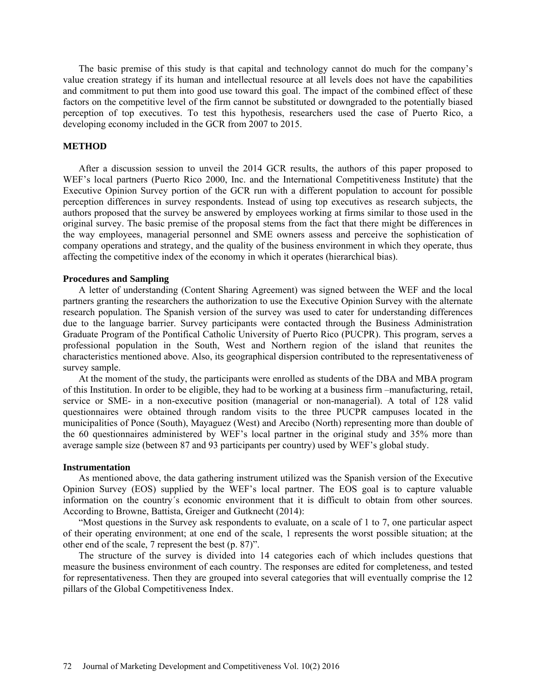The basic premise of this study is that capital and technology cannot do much for the company's value creation strategy if its human and intellectual resource at all levels does not have the capabilities and commitment to put them into good use toward this goal. The impact of the combined effect of these factors on the competitive level of the firm cannot be substituted or downgraded to the potentially biased perception of top executives. To test this hypothesis, researchers used the case of Puerto Rico, a developing economy included in the GCR from 2007 to 2015.

#### **METHOD**

After a discussion session to unveil the 2014 GCR results, the authors of this paper proposed to WEF's local partners (Puerto Rico 2000, Inc. and the International Competitiveness Institute) that the Executive Opinion Survey portion of the GCR run with a different population to account for possible perception differences in survey respondents. Instead of using top executives as research subjects, the authors proposed that the survey be answered by employees working at firms similar to those used in the original survey. The basic premise of the proposal stems from the fact that there might be differences in the way employees, managerial personnel and SME owners assess and perceive the sophistication of company operations and strategy, and the quality of the business environment in which they operate, thus affecting the competitive index of the economy in which it operates (hierarchical bias).

#### **Procedures and Sampling**

A letter of understanding (Content Sharing Agreement) was signed between the WEF and the local partners granting the researchers the authorization to use the Executive Opinion Survey with the alternate research population. The Spanish version of the survey was used to cater for understanding differences due to the language barrier. Survey participants were contacted through the Business Administration Graduate Program of the Pontifical Catholic University of Puerto Rico (PUCPR). This program, serves a professional population in the South, West and Northern region of the island that reunites the characteristics mentioned above. Also, its geographical dispersion contributed to the representativeness of survey sample.

At the moment of the study, the participants were enrolled as students of the DBA and MBA program of this Institution. In order to be eligible, they had to be working at a business firm –manufacturing, retail, service or SME- in a non-executive position (managerial or non-managerial). A total of 128 valid questionnaires were obtained through random visits to the three PUCPR campuses located in the municipalities of Ponce (South), Mayaguez (West) and Arecibo (North) representing more than double of the 60 questionnaires administered by WEF's local partner in the original study and 35% more than average sample size (between 87 and 93 participants per country) used by WEF's global study.

#### **Instrumentation**

As mentioned above, the data gathering instrument utilized was the Spanish version of the Executive Opinion Survey (EOS) supplied by the WEF's local partner. The EOS goal is to capture valuable information on the country´s economic environment that it is difficult to obtain from other sources. According to Browne, Battista, Greiger and Gutknecht (2014):

"Most questions in the Survey ask respondents to evaluate, on a scale of 1 to 7, one particular aspect of their operating environment; at one end of the scale, 1 represents the worst possible situation; at the other end of the scale, 7 represent the best (p. 87)".

The structure of the survey is divided into 14 categories each of which includes questions that measure the business environment of each country. The responses are edited for completeness, and tested for representativeness. Then they are grouped into several categories that will eventually comprise the 12 pillars of the Global Competitiveness Index.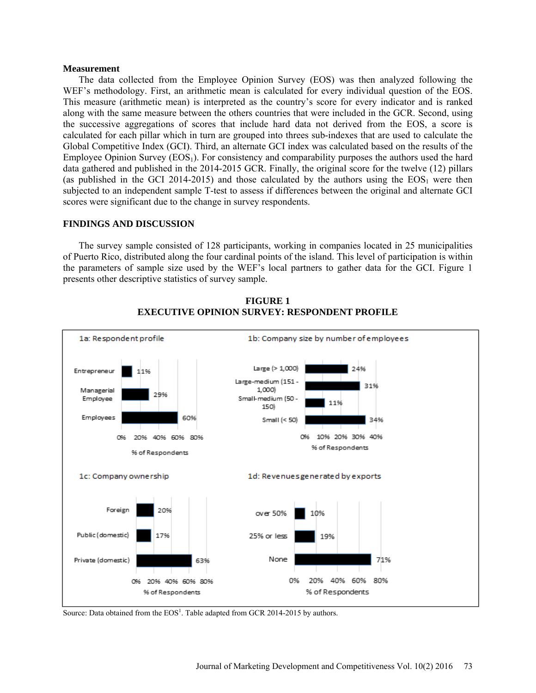#### **Measurement**

The data collected from the Employee Opinion Survey (EOS) was then analyzed following the WEF's methodology. First, an arithmetic mean is calculated for every individual question of the EOS. This measure (arithmetic mean) is interpreted as the country's score for every indicator and is ranked along with the same measure between the others countries that were included in the GCR. Second, using the successive aggregations of scores that include hard data not derived from the EOS, a score is calculated for each pillar which in turn are grouped into threes sub-indexes that are used to calculate the Global Competitive Index (GCI). Third, an alternate GCI index was calculated based on the results of the Employee Opinion Survey (EOS1). For consistency and comparability purposes the authors used the hard data gathered and published in the 2014-2015 GCR. Finally, the original score for the twelve (12) pillars (as published in the GCI 2014-2015) and those calculated by the authors using the  $EOS<sub>1</sub>$  were then subjected to an independent sample T-test to assess if differences between the original and alternate GCI scores were significant due to the change in survey respondents.

### **FINDINGS AND DISCUSSION**

The survey sample consisted of 128 participants, working in companies located in 25 municipalities of Puerto Rico, distributed along the four cardinal points of the island. This level of participation is within the parameters of sample size used by the WEF's local partners to gather data for the GCI. Figure 1 presents other descriptive statistics of survey sample.



**FIGURE 1 EXECUTIVE OPINION SURVEY: RESPONDENT PROFILE**

Source: Data obtained from the  $EOS<sup>1</sup>$ . Table adapted from GCR 2014-2015 by authors.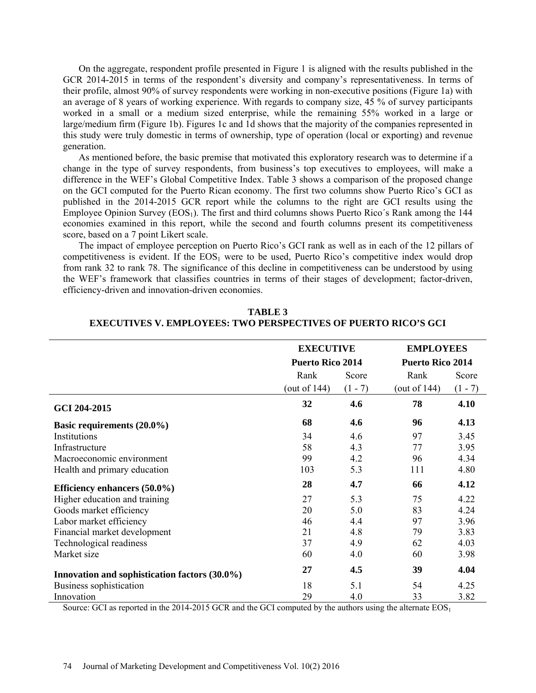On the aggregate, respondent profile presented in Figure 1 is aligned with the results published in the GCR 2014-2015 in terms of the respondent's diversity and company's representativeness. In terms of their profile, almost 90% of survey respondents were working in non-executive positions (Figure 1a) with an average of 8 years of working experience. With regards to company size, 45 % of survey participants worked in a small or a medium sized enterprise, while the remaining 55% worked in a large or large/medium firm (Figure 1b). Figures 1c and 1d shows that the majority of the companies represented in this study were truly domestic in terms of ownership, type of operation (local or exporting) and revenue generation.

As mentioned before, the basic premise that motivated this exploratory research was to determine if a change in the type of survey respondents, from business's top executives to employees, will make a difference in the WEF's Global Competitive Index. Table 3 shows a comparison of the proposed change on the GCI computed for the Puerto Rican economy. The first two columns show Puerto Rico's GCI as published in the 2014-2015 GCR report while the columns to the right are GCI results using the Employee Opinion Survey  $(EOS_1)$ . The first and third columns shows Puerto Rico's Rank among the 144 economies examined in this report, while the second and fourth columns present its competitiveness score, based on a 7 point Likert scale.

The impact of employee perception on Puerto Rico's GCI rank as well as in each of the 12 pillars of competitiveness is evident. If the  $EOS<sub>1</sub>$  were to be used, Puerto Rico's competitive index would drop from rank 32 to rank 78. The significance of this decline in competitiveness can be understood by using the WEF's framework that classifies countries in terms of their stages of development; factor-driven, efficiency-driven and innovation-driven economies.

|                                               | <b>EXECUTIVE</b><br><b>Puerto Rico 2014</b> |           | <b>EMPLOYEES</b><br><b>Puerto Rico 2014</b> |           |
|-----------------------------------------------|---------------------------------------------|-----------|---------------------------------------------|-----------|
|                                               |                                             |           |                                             |           |
|                                               | Rank                                        | Score     | Rank                                        | Score     |
|                                               | (out of $144$ )                             | $(1 - 7)$ | (out of $144$ )                             | $(1 - 7)$ |
| GCI 204-2015                                  | 32                                          | 4.6       | 78                                          | 4.10      |
| Basic requirements (20.0%)                    | 68                                          | 4.6       | 96                                          | 4.13      |
| Institutions                                  | 34                                          | 4.6       | 97                                          | 3.45      |
| Infrastructure                                | 58                                          | 4.3       | 77                                          | 3.95      |
| Macroeconomic environment                     | 99                                          | 4.2       | 96                                          | 4.34      |
| Health and primary education                  | 103                                         | 5.3       | 111                                         | 4.80      |
| Efficiency enhancers (50.0%)                  | 28                                          | 4.7       | 66                                          | 4.12      |
| Higher education and training                 | 27                                          | 5.3       | 75                                          | 4.22      |
| Goods market efficiency                       | 20                                          | 5.0       | 83                                          | 4.24      |
| Labor market efficiency                       | 46                                          | 4.4       | 97                                          | 3.96      |
| Financial market development                  | 21                                          | 4.8       | 79                                          | 3.83      |
| Technological readiness                       | 37                                          | 4.9       | 62                                          | 4.03      |
| Market size                                   | 60                                          | 4.0       | 60                                          | 3.98      |
| Innovation and sophistication factors (30.0%) | 27                                          | 4.5       | 39                                          | 4.04      |
| Business sophistication                       | 18                                          | 5.1       | 54                                          | 4.25      |
| Innovation                                    | 29                                          | 4.0       | 33                                          | 3.82      |

### **TABLE 3 EXECUTIVES V. EMPLOYEES: TWO PERSPECTIVES OF PUERTO RICO'S GCI**

Source: GCI as reported in the 2014-2015 GCR and the GCI computed by the authors using the alternate EOS<sub>1</sub>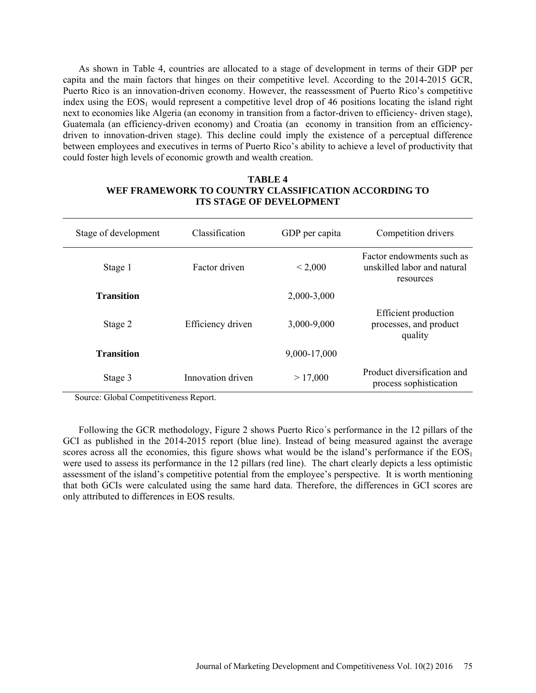As shown in Table 4, countries are allocated to a stage of development in terms of their GDP per capita and the main factors that hinges on their competitive level. According to the 2014-2015 GCR, Puerto Rico is an innovation-driven economy. However, the reassessment of Puerto Rico's competitive index using the  $EOS_1$  would represent a competitive level drop of 46 positions locating the island right next to economies like Algeria (an economy in transition from a factor-driven to efficiency- driven stage), Guatemala (an efficiency-driven economy) and Croatia (an economy in transition from an efficiencydriven to innovation-driven stage). This decline could imply the existence of a perceptual difference between employees and executives in terms of Puerto Rico's ability to achieve a level of productivity that could foster high levels of economic growth and wealth creation.

# **TABLE 4 WEF FRAMEWORK TO COUNTRY CLASSIFICATION ACCORDING TO ITS STAGE OF DEVELOPMENT**

| Stage of development | Classification    | GDP per capita | Competition drivers                                                   |
|----------------------|-------------------|----------------|-----------------------------------------------------------------------|
| Stage 1              | Factor driven     | < 2,000        | Factor endowments such as<br>unskilled labor and natural<br>resources |
| <b>Transition</b>    |                   | 2,000-3,000    |                                                                       |
| Stage 2              | Efficiency driven | 3,000-9,000    | Efficient production<br>processes, and product<br>quality             |
| <b>Transition</b>    |                   | 9,000-17,000   |                                                                       |
| Stage 3              | Innovation driven | >17,000        | Product diversification and<br>process sophistication                 |

Source: Global Competitiveness Report.

Following the GCR methodology, Figure 2 shows Puerto Rico´s performance in the 12 pillars of the GCI as published in the 2014-2015 report (blue line). Instead of being measured against the average scores across all the economies, this figure shows what would be the island's performance if the  $EOS<sub>1</sub>$ were used to assess its performance in the 12 pillars (red line). The chart clearly depicts a less optimistic assessment of the island's competitive potential from the employee's perspective. It is worth mentioning that both GCIs were calculated using the same hard data. Therefore, the differences in GCI scores are only attributed to differences in EOS results.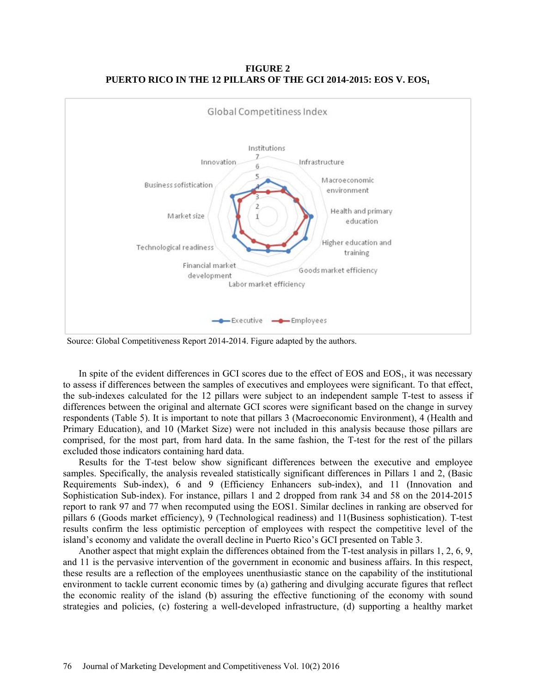**FIGURE 2 PUERTO RICO IN THE 12 PILLARS OF THE GCI 2014-2015: EOS V. EOS1** 



Source: Global Competitiveness Report 2014-2014. Figure adapted by the authors.

In spite of the evident differences in GCI scores due to the effect of EOS and EOS<sub>1</sub>, it was necessary to assess if differences between the samples of executives and employees were significant. To that effect, the sub-indexes calculated for the 12 pillars were subject to an independent sample T-test to assess if differences between the original and alternate GCI scores were significant based on the change in survey respondents (Table 5). It is important to note that pillars 3 (Macroeconomic Environment), 4 (Health and Primary Education), and 10 (Market Size) were not included in this analysis because those pillars are comprised, for the most part, from hard data. In the same fashion, the T-test for the rest of the pillars excluded those indicators containing hard data.

Results for the T-test below show significant differences between the executive and employee samples. Specifically, the analysis revealed statistically significant differences in Pillars 1 and 2, (Basic Requirements Sub-index), 6 and 9 (Efficiency Enhancers sub-index), and 11 (Innovation and Sophistication Sub-index). For instance, pillars 1 and 2 dropped from rank 34 and 58 on the 2014-2015 report to rank 97 and 77 when recomputed using the EOS1. Similar declines in ranking are observed for pillars 6 (Goods market efficiency), 9 (Technological readiness) and 11(Business sophistication). T-test results confirm the less optimistic perception of employees with respect the competitive level of the island's economy and validate the overall decline in Puerto Rico's GCI presented on Table 3.

Another aspect that might explain the differences obtained from the T-test analysis in pillars 1, 2, 6, 9, and 11 is the pervasive intervention of the government in economic and business affairs. In this respect, these results are a reflection of the employees unenthusiastic stance on the capability of the institutional environment to tackle current economic times by (a) gathering and divulging accurate figures that reflect the economic reality of the island (b) assuring the effective functioning of the economy with sound strategies and policies, (c) fostering a well-developed infrastructure, (d) supporting a healthy market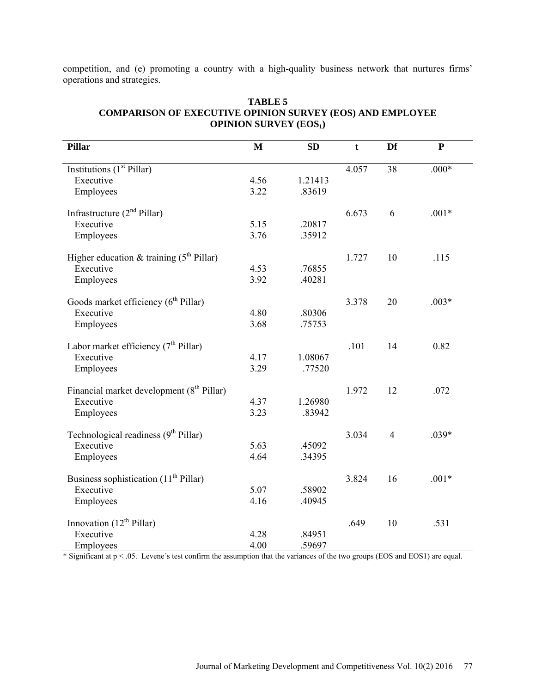competition, and (e) promoting a country with a high-quality business network that nurtures firms' operations and strategies.

| <b>Pillar</b>                                         | $\mathbf{M}$ | <b>SD</b> | t     | Df             | ${\bf P}$ |
|-------------------------------------------------------|--------------|-----------|-------|----------------|-----------|
| Institutions $(\overline{1^{st}$ Pillar)              |              |           | 4.057 | 38             | $.000*$   |
| Executive                                             | 4.56         | 1.21413   |       |                |           |
| Employees                                             | 3.22         | .83619    |       |                |           |
| Infrastructure $(2nd Pillar)$                         |              |           | 6.673 | 6              | $.001*$   |
| Executive                                             | 5.15         | .20817    |       |                |           |
| Employees                                             | 3.76         | .35912    |       |                |           |
| Higher education & training $(5th Pillar)$            |              |           | 1.727 | 10             | .115      |
| Executive                                             | 4.53         | .76855    |       |                |           |
| Employees                                             | 3.92         | .40281    |       |                |           |
| Goods market efficiency (6 <sup>th</sup> Pillar)      |              |           | 3.378 | 20             | $.003*$   |
| Executive                                             | 4.80         | .80306    |       |                |           |
| Employees                                             | 3.68         | .75753    |       |                |           |
| Labor market efficiency (7 <sup>th</sup> Pillar)      |              |           | .101  | 14             | 0.82      |
| Executive                                             | 4.17         | 1.08067   |       |                |           |
| Employees                                             | 3.29         | .77520    |       |                |           |
| Financial market development (8 <sup>th</sup> Pillar) |              |           | 1.972 | 12             | .072      |
| Executive                                             | 4.37         | 1.26980   |       |                |           |
| Employees                                             | 3.23         | .83942    |       |                |           |
| Technological readiness $(9th Pillar)$                |              |           | 3.034 | $\overline{4}$ | $.039*$   |
| Executive                                             | 5.63         | .45092    |       |                |           |
| Employees                                             | 4.64         | .34395    |       |                |           |
| Business sophistication (11 <sup>th</sup> Pillar)     |              |           | 3.824 | 16             | $.001*$   |
| Executive                                             | 5.07         | .58902    |       |                |           |
| Employees                                             | 4.16         | .40945    |       |                |           |
| Innovation $(12th Pillar)$                            |              |           | .649  | 10             | .531      |
| Executive                                             | 4.28         | .84951    |       |                |           |
| Employees                                             | 4.00         | .59697    |       |                |           |

# **TABLE 5 COMPARISON OF EXECUTIVE OPINION SURVEY (EOS) AND EMPLOYEE OPINION SURVEY (EOS1)**

\* Significant at p < .05. Levene´s test confirm the assumption that the variances of the two groups (EOS and EOS1) are equal.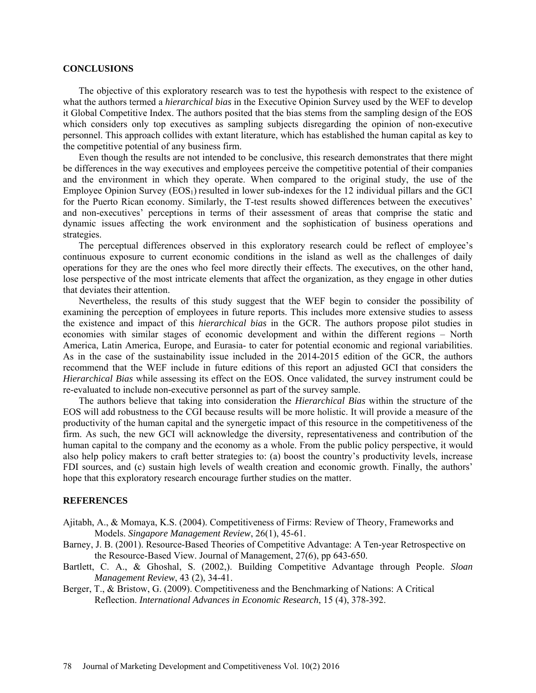#### **CONCLUSIONS**

The objective of this exploratory research was to test the hypothesis with respect to the existence of what the authors termed a *hierarchical bias* in the Executive Opinion Survey used by the WEF to develop it Global Competitive Index. The authors posited that the bias stems from the sampling design of the EOS which considers only top executives as sampling subjects disregarding the opinion of non-executive personnel. This approach collides with extant literature, which has established the human capital as key to the competitive potential of any business firm.

Even though the results are not intended to be conclusive, this research demonstrates that there might be differences in the way executives and employees perceive the competitive potential of their companies and the environment in which they operate. When compared to the original study, the use of the Employee Opinion Survey  $(EOS_1)$  resulted in lower sub-indexes for the 12 individual pillars and the GCI for the Puerto Rican economy. Similarly, the T-test results showed differences between the executives' and non-executives' perceptions in terms of their assessment of areas that comprise the static and dynamic issues affecting the work environment and the sophistication of business operations and strategies.

The perceptual differences observed in this exploratory research could be reflect of employee's continuous exposure to current economic conditions in the island as well as the challenges of daily operations for they are the ones who feel more directly their effects. The executives, on the other hand, lose perspective of the most intricate elements that affect the organization, as they engage in other duties that deviates their attention.

Nevertheless, the results of this study suggest that the WEF begin to consider the possibility of examining the perception of employees in future reports. This includes more extensive studies to assess the existence and impact of this *hierarchical bias* in the GCR. The authors propose pilot studies in economies with similar stages of economic development and within the different regions – North America, Latin America, Europe, and Eurasia- to cater for potential economic and regional variabilities. As in the case of the sustainability issue included in the 2014-2015 edition of the GCR, the authors recommend that the WEF include in future editions of this report an adjusted GCI that considers the *Hierarchical Bias* while assessing its effect on the EOS. Once validated, the survey instrument could be re-evaluated to include non-executive personnel as part of the survey sample.

The authors believe that taking into consideration the *Hierarchical Bias* within the structure of the EOS will add robustness to the CGI because results will be more holistic. It will provide a measure of the productivity of the human capital and the synergetic impact of this resource in the competitiveness of the firm. As such, the new GCI will acknowledge the diversity, representativeness and contribution of the human capital to the company and the economy as a whole. From the public policy perspective, it would also help policy makers to craft better strategies to: (a) boost the country's productivity levels, increase FDI sources, and (c) sustain high levels of wealth creation and economic growth. Finally, the authors' hope that this exploratory research encourage further studies on the matter.

#### **REFERENCES**

- Ajitabh, A., & Momaya, K.S. (2004). Competitiveness of Firms: Review of Theory, Frameworks and Models. *Singapore Management Review*, 26(1), 45-61.
- Barney, J. B. (2001). Resource-Based Theories of Competitive Advantage: A Ten-year Retrospective on the Resource-Based View. Journal of Management, 27(6), pp 643-650.
- Bartlett, C. A., & Ghoshal, S. (2002,). Building Competitive Advantage through People. *Sloan Management Review*, 43 (2), 34-41.
- Berger, T., & Bristow, G. (2009). Competitiveness and the Benchmarking of Nations: A Critical Reflection. *International Advances in Economic Research*, 15 (4), 378-392.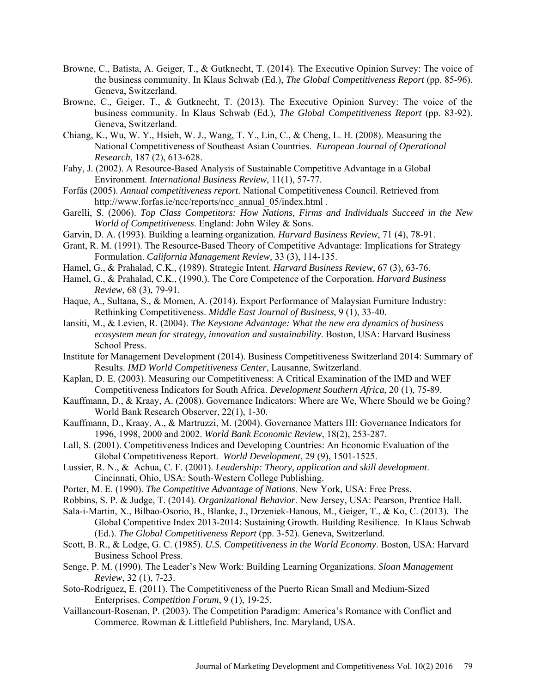- Browne, C., Batista, A. Geiger, T., & Gutknecht, T. (2014). The Executive Opinion Survey: The voice of the business community. In Klaus Schwab (Ed.), *The Global Competitiveness Report* (pp. 85-96). Geneva, Switzerland.
- Browne, C., Geiger, T., & Gutknecht, T. (2013). The Executive Opinion Survey: The voice of the business community. In Klaus Schwab (Ed.), *The Global Competitiveness Report* (pp. 83-92). Geneva, Switzerland.
- Chiang, K., Wu, W. Y., Hsieh, W. J., Wang, T. Y., Lin, C., & Cheng, L. H. (2008). Measuring the National Competitiveness of Southeast Asian Countries. *European Journal of Operational Research*, 187 (2), 613-628.
- Fahy, J. (2002). A Resource-Based Analysis of Sustainable Competitive Advantage in a Global Environment. *International Business Review*, 11(1), 57-77.
- Forfás (2005). *Annual competitiveness report*. National Competitiveness Council. Retrieved from [http://www.forfas.ie/ncc/reports/ncc\\_annual\\_05/index.html](http://www.forfas.ie/ncc/reports/ncc_annual_05/index.html) .
- Garelli, S. (2006). *Top Class Competitors: How Nations, Firms and Individuals Succeed in the New World of Competitiveness*. England: John Wiley & Sons.
- Garvin, D. A. (1993). Building a learning organization. *Harvard Business Review*, 71 (4), 78-91.
- Grant, R. M. (1991). The Resource-Based Theory of Competitive Advantage: Implications for Strategy Formulation. *California Management Review,* 33 (3), 114-135.
- Hamel, G., & Prahalad, C.K., (1989). Strategic Intent. *Harvard Business Review*, 67 (3), 63-76.
- Hamel, G., & Prahalad, C.K., (1990,). The Core Competence of the Corporation. *Harvard Business Review*, 68 (3), 79-91.
- Haque, A., Sultana, S., & Momen, A. (2014). Export Performance of Malaysian Furniture Industry: Rethinking Competitiveness. *Middle East Journal of Business*, 9 (1), 33-40.
- Iansiti, M., & Levien, R. (2004). *The Keystone Advantage: What the new era dynamics of business ecosystem mean for strategy, innovation and sustainability*. Boston, USA: Harvard Business School Press.
- Institute for Management Development (2014). Business Competitiveness Switzerland 2014: Summary of Results. *IMD World Competitiveness Center*, Lausanne, Switzerland.
- Kaplan, D. E. (2003). Measuring our Competitiveness: A Critical Examination of the IMD and WEF Competitiveness Indicators for South Africa. *Development Southern Africa*, 20 (1), 75-89.
- Kauffmann, D., & Kraay, A. (2008). Governance Indicators: Where are We, Where Should we be Going? World Bank Research Observer, 22(1), 1-30.
- Kauffmann, D., Kraay, A., & Martruzzi, M. (2004). Governance Matters III: Governance Indicators for 1996, 1998, 2000 and 2002. *World Bank Economic Review*, 18(2), 253-287.
- Lall, S. (2001). Competitiveness Indices and Developing Countries: An Economic Evaluation of the Global Competitiveness Report. *World Development*, 29 (9), 1501-1525.
- Lussier, R. N., & Achua, C. F. (2001). *Leadership: Theory, application and skill development*. Cincinnati, Ohio, USA: South-Western College Publishing.
- Porter, M. E. (1990). *The Competitive Advantage of Nations*. New York, USA: Free Press.
- Robbins, S. P. & Judge, T. (2014). *Organizational Behavior*. New Jersey, USA: Pearson, Prentice Hall.
- Sala-i-Martin, X., Bilbao-Osorio, B., Blanke, J., Drzeniek-Hanous, M., Geiger, T., & Ko, C. (2013). The Global Competitive Index 2013-2014: Sustaining Growth. Building Resilience. In Klaus Schwab (Ed.). *The Global Competitiveness Report* (pp. 3-52). Geneva, Switzerland.
- Scott, B. R., & Lodge, G. C. (1985). *U.S. Competitiveness in the World Economy*. Boston, USA: Harvard Business School Press.
- Senge, P. M. (1990). The Leader's New Work: Building Learning Organizations. *Sloan Management Review*, 32 (1), 7-23.
- Soto-Rodríguez, E. (2011). The Competitiveness of the Puerto Rican Small and Medium-Sized Enterprises. *Competition Forum*, 9 (1), 19-25.
- Vaillancourt-Rosenan, P. (2003). The Competition Paradigm: America's Romance with Conflict and Commerce. Rowman & Littlefield Publishers, Inc. Maryland, USA.